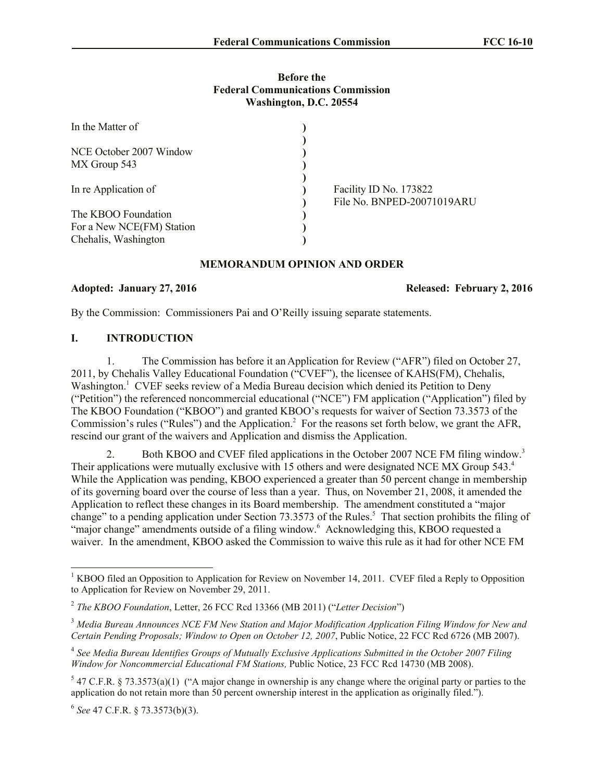### **Before the Federal Communications Commission Washington, D.C. 20554**

| In the Matter of          |                            |
|---------------------------|----------------------------|
|                           |                            |
| NCE October 2007 Window   |                            |
| MX Group 543              |                            |
|                           |                            |
| In re Application of      | Facility ID No. 173822     |
|                           | File No. BNPED-20071019ARU |
| The KBOO Foundation       |                            |
| For a New NCE(FM) Station |                            |
| Chehalis, Washington      |                            |

### **MEMORANDUM OPINION AND ORDER**

## **Adopted: January 27, 2016 Released: February 2, 2016**

By the Commission: Commissioners Pai and O'Reilly issuing separate statements.

## **I. INTRODUCTION**

1. The Commission has before it an Application for Review ("AFR") filed on October 27, 2011, by Chehalis Valley Educational Foundation ("CVEF"), the licensee of KAHS(FM), Chehalis, Washington.<sup>1</sup> CVEF seeks review of a Media Bureau decision which denied its Petition to Deny ("Petition") the referenced noncommercial educational ("NCE") FM application ("Application") filed by The KBOO Foundation ("KBOO") and granted KBOO's requests for waiver of Section 73.3573 of the Commission's rules ("Rules") and the Application. 2 For the reasons set forth below, we grant the AFR, rescind our grant of the waivers and Application and dismiss the Application.

2. Both KBOO and CVEF filed applications in the October 2007 NCE FM filing window.<sup>3</sup> Their applications were mutually exclusive with 15 others and were designated NCE MX Group 543.<sup>4</sup> While the Application was pending, KBOO experienced a greater than 50 percent change in membership of its governing board over the course of less than a year. Thus, on November 21, 2008, it amended the Application to reflect these changes in its Board membership. The amendment constituted a "major change" to a pending application under Section 73.3573 of the Rules.<sup>5</sup> That section prohibits the filing of "major change" amendments outside of a filing window.<sup>6</sup> Acknowledging this, KBOO requested a waiver. In the amendment, KBOO asked the Commission to waive this rule as it had for other NCE FM

6 *See* 47 C.F.R. § 73.3573(b)(3).

l

<sup>&</sup>lt;sup>1</sup> KBOO filed an Opposition to Application for Review on November 14, 2011. CVEF filed a Reply to Opposition to Application for Review on November 29, 2011.

<sup>2</sup> *The KBOO Foundation*, Letter, 26 FCC Rcd 13366 (MB 2011) ("*Letter Decision*")

<sup>3</sup> *Media Bureau Announces NCE FM New Station and Major Modification Application Filing Window for New and Certain Pending Proposals; Window to Open on October 12, 2007*, Public Notice, 22 FCC Rcd 6726 (MB 2007).

<sup>4</sup> *See Media Bureau Identifies Groups of Mutually Exclusive Applications Submitted in the October 2007 Filing Window for Noncommercial Educational FM Stations,* Public Notice, 23 FCC Rcd 14730 (MB 2008).

 $5$  47 C.F.R. § 73.3573(a)(1) ("A major change in ownership is any change where the original party or parties to the application do not retain more than 50 percent ownership interest in the application as originally filed.").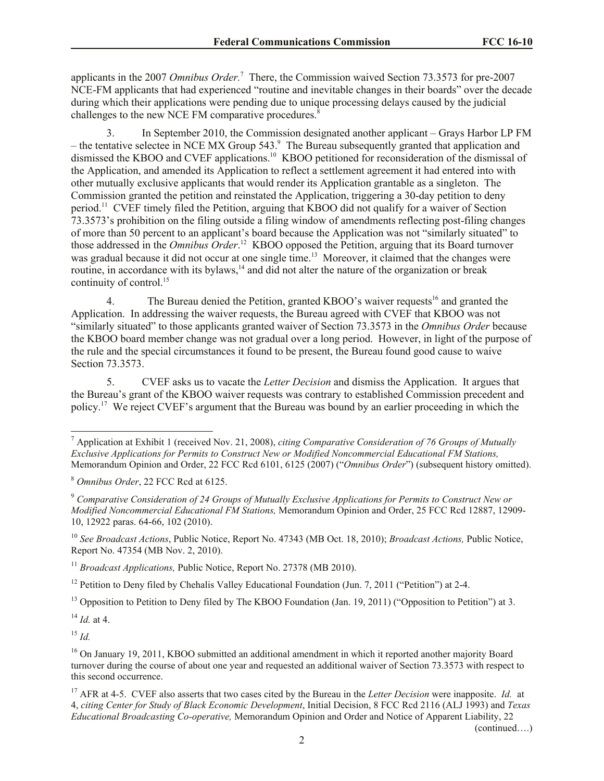applicants in the 2007 *Omnibus Order.*<sup>7</sup> There, the Commission waived Section 73.3573 for pre-2007 NCE-FM applicants that had experienced "routine and inevitable changes in their boards" over the decade during which their applications were pending due to unique processing delays caused by the judicial challenges to the new NCE FM comparative procedures.<sup>8</sup>

3. In September 2010, the Commission designated another applicant – Grays Harbor LP FM – the tentative selectee in NCE MX Group 543.<sup>9</sup> The Bureau subsequently granted that application and dismissed the KBOO and CVEF applications.<sup>10</sup> KBOO petitioned for reconsideration of the dismissal of the Application, and amended its Application to reflect a settlement agreement it had entered into with other mutually exclusive applicants that would render its Application grantable as a singleton. The Commission granted the petition and reinstated the Application, triggering a 30-day petition to deny period.<sup>11</sup> CVEF timely filed the Petition, arguing that KBOO did not qualify for a waiver of Section 73.3573's prohibition on the filing outside a filing window of amendments reflecting post-filing changes of more than 50 percent to an applicant's board because the Application was not "similarly situated" to those addressed in the *Omnibus Order*. 12 KBOO opposed the Petition, arguing that its Board turnover was gradual because it did not occur at one single time.<sup>13</sup> Moreover, it claimed that the changes were routine, in accordance with its bylaws,<sup>14</sup> and did not alter the nature of the organization or break continuity of control.<sup>15</sup>

4. The Bureau denied the Petition, granted KBOO's waiver requests<sup>16</sup> and granted the Application. In addressing the waiver requests, the Bureau agreed with CVEF that KBOO was not "similarly situated" to those applicants granted waiver of Section 73.3573 in the *Omnibus Order* because the KBOO board member change was not gradual over a long period. However, in light of the purpose of the rule and the special circumstances it found to be present, the Bureau found good cause to waive Section 73.3573.

5. CVEF asks us to vacate the *Letter Decision* and dismiss the Application. It argues that the Bureau's grant of the KBOO waiver requests was contrary to established Commission precedent and policy.<sup>17</sup> We reject CVEF's argument that the Bureau was bound by an earlier proceeding in which the

<sup>12</sup> Petition to Deny filed by Chehalis Valley Educational Foundation (Jun. 7, 2011 ("Petition") at 2-4.

<sup>13</sup> Opposition to Petition to Deny filed by The KBOO Foundation (Jan. 19, 2011) ("Opposition to Petition") at 3.

<sup>14</sup> *Id.* at 4.

<sup>15</sup> *Id.*

l

(continued….)

<sup>7</sup> Application at Exhibit 1 (received Nov. 21, 2008), *citing Comparative Consideration of 76 Groups of Mutually Exclusive Applications for Permits to Construct New or Modified Noncommercial Educational FM Stations,*  Memorandum Opinion and Order, 22 FCC Rcd 6101, 6125 (2007) ("*Omnibus Order*") (subsequent history omitted).

<sup>8</sup> *Omnibus Order*, 22 FCC Rcd at 6125.

<sup>9</sup> *Comparative Consideration of 24 Groups of Mutually Exclusive Applications for Permits to Construct New or Modified Noncommercial Educational FM Stations,* Memorandum Opinion and Order, 25 FCC Rcd 12887, 12909- 10, 12922 paras. 64-66, 102 (2010).

<sup>10</sup> *See Broadcast Actions*, Public Notice, Report No. 47343 (MB Oct. 18, 2010); *Broadcast Actions,* Public Notice, Report No. 47354 (MB Nov. 2, 2010).

<sup>&</sup>lt;sup>11</sup> *Broadcast Applications, Public Notice, Report No. 27378 (MB 2010).* 

<sup>&</sup>lt;sup>16</sup> On January 19, 2011, KBOO submitted an additional amendment in which it reported another majority Board turnover during the course of about one year and requested an additional waiver of Section 73.3573 with respect to this second occurrence.

<sup>17</sup> AFR at 4-5. CVEF also asserts that two cases cited by the Bureau in the *Letter Decision* were inapposite. *Id.* at 4, *citing Center for Study of Black Economic Development*, Initial Decision, 8 FCC Rcd 2116 (ALJ 1993) and *Texas Educational Broadcasting Co-operative,* Memorandum Opinion and Order and Notice of Apparent Liability, 22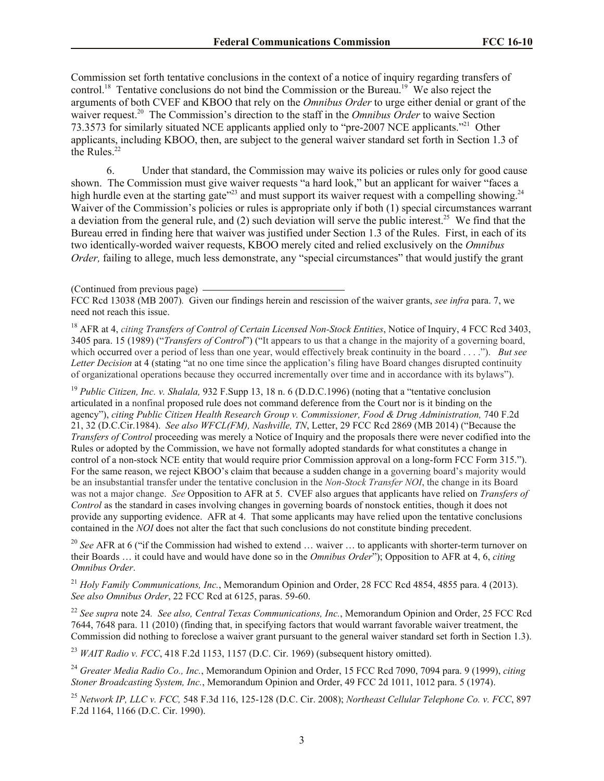Commission set forth tentative conclusions in the context of a notice of inquiry regarding transfers of control.<sup>18</sup> Tentative conclusions do not bind the Commission or the Bureau.<sup>19</sup> We also reject the arguments of both CVEF and KBOO that rely on the *Omnibus Order* to urge either denial or grant of the waiver request.<sup>20</sup> The Commission's direction to the staff in the *Omnibus Order* to waive Section 73.3573 for similarly situated NCE applicants applied only to "pre-2007 NCE applicants."<sup>21</sup> Other applicants, including KBOO, then, are subject to the general waiver standard set forth in Section 1.3 of the Rules. $22$ 

6. Under that standard, the Commission may waive its policies or rules only for good cause shown. The Commission must give waiver requests "a hard look," but an applicant for waiver "faces a high hurdle even at the starting gate<sup> $23$ </sup> and must support its waiver request with a compelling showing.<sup>24</sup> Waiver of the Commission's policies or rules is appropriate only if both (1) special circumstances warrant a deviation from the general rule, and (2) such deviation will serve the public interest.<sup>25</sup> We find that the Bureau erred in finding here that waiver was justified under Section 1.3 of the Rules. First, in each of its two identically-worded waiver requests, KBOO merely cited and relied exclusively on the *Omnibus Order*, failing to allege, much less demonstrate, any "special circumstances" that would justify the grant

<sup>18</sup> AFR at 4, *citing Transfers of Control of Certain Licensed Non-Stock Entities*, Notice of Inquiry, 4 FCC Rcd 3403, 3405 para. 15 (1989) ("*Transfers of Control*") ("It appears to us that a change in the majority of a governing board, which occurred over a period of less than one year, would effectively break continuity in the board . . . ."). *But see Letter Decision* at 4 (stating "at no one time since the application's filing have Board changes disrupted continuity of organizational operations because they occurred incrementally over time and in accordance with its bylaws").

<sup>19</sup> *Public Citizen, Inc. v. Shalala,* 932 F.Supp 13, 18 n. 6 (D.D.C.1996) (noting that a "tentative conclusion articulated in a nonfinal proposed rule does not command deference from the Court nor is it binding on the agency"), *citing Public Citizen Health Research Group v. Commissioner, Food & Drug Administration,* 740 F.2d 21, 32 (D.C.Cir.1984). *See also WFCL(FM), Nashville, TN*, Letter, 29 FCC Rcd 2869 (MB 2014) ("Because the *Transfers of Control* proceeding was merely a Notice of Inquiry and the proposals there were never codified into the Rules or adopted by the Commission, we have not formally adopted standards for what constitutes a change in control of a non-stock NCE entity that would require prior Commission approval on a long-form FCC Form 315."). For the same reason, we reject KBOO's claim that because a sudden change in a governing board's majority would be an insubstantial transfer under the tentative conclusion in the *Non-Stock Transfer NOI*, the change in its Board was not a major change. *See* Opposition to AFR at 5. CVEF also argues that applicants have relied on *Transfers of Control* as the standard in cases involving changes in governing boards of nonstock entities, though it does not provide any supporting evidence. AFR at 4.That some applicants may have relied upon the tentative conclusions contained in the *NOI* does not alter the fact that such conclusions do not constitute binding precedent.

<sup>20</sup> See AFR at 6 ("if the Commission had wished to extend ... waiver ... to applicants with shorter-term turnover on their Boards … it could have and would have done so in the *Omnibus Order*"); Opposition to AFR at 4, 6, *citing Omnibus Order*.

<sup>21</sup> *Holy Family Communications, Inc., Memorandum Opinion and Order, 28 FCC Rcd 4854, 4855 para. 4 (2013). See also Omnibus Order*, 22 FCC Rcd at 6125, paras. 59-60.

<sup>22</sup> *See supra* note 24*. See also, Central Texas Communications, Inc.*, Memorandum Opinion and Order, 25 FCC Rcd 7644, 7648 para. 11 (2010) (finding that, in specifying factors that would warrant favorable waiver treatment, the Commission did nothing to foreclose a waiver grant pursuant to the general waiver standard set forth in Section 1.3).

<sup>23</sup> *WAIT Radio v. FCC*, 418 F.2d 1153, 1157 (D.C. Cir. 1969) (subsequent history omitted).

<sup>24</sup> *Greater Media Radio Co., Inc.*, Memorandum Opinion and Order, 15 FCC Rcd 7090, 7094 para. 9 (1999), *citing Stoner Broadcasting System, Inc.*, Memorandum Opinion and Order, 49 FCC 2d 1011, 1012 para. 5 (1974).

<sup>25</sup> *Network IP, LLC v. FCC,* 548 F.3d 116, 125-128 (D.C. Cir. 2008); *Northeast Cellular Telephone Co. v. FCC*, 897 F.2d 1164, 1166 (D.C. Cir. 1990).

<sup>(</sup>Continued from previous page)

FCC Rcd 13038 (MB 2007)*.* Given our findings herein and rescission of the waiver grants, *see infra* para. 7, we need not reach this issue.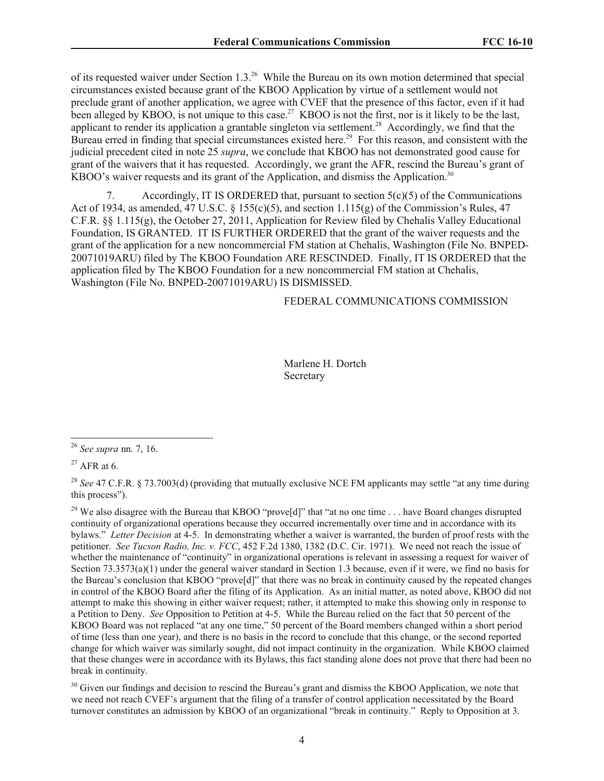of its requested waiver under Section 1.3.<sup>26</sup> While the Bureau on its own motion determined that special circumstances existed because grant of the KBOO Application by virtue of a settlement would not preclude grant of another application, we agree with CVEF that the presence of this factor, even if it had been alleged by KBOO, is not unique to this case.<sup>27</sup> KBOO is not the first, nor is it likely to be the last, applicant to render its application a grantable singleton via settlement.<sup>28</sup> Accordingly, we find that the Bureau erred in finding that special circumstances existed here.<sup>29</sup> For this reason, and consistent with the judicial precedent cited in note 25 *supra*, we conclude that KBOO has not demonstrated good cause for grant of the waivers that it has requested. Accordingly, we grant the AFR, rescind the Bureau's grant of KBOO's waiver requests and its grant of the Application, and dismiss the Application.<sup>30</sup>

7. Accordingly, IT IS ORDERED that, pursuant to section 5(c)(5) of the Communications Act of 1934, as amended, 47 U.S.C. § 155(c)(5), and section 1.115(g) of the Commission's Rules, 47 C.F.R. §§ 1.115(g), the October 27, 2011, Application for Review filed by Chehalis Valley Educational Foundation, IS GRANTED. IT IS FURTHER ORDERED that the grant of the waiver requests and the grant of the application for a new noncommercial FM station at Chehalis, Washington (File No. BNPED-20071019ARU) filed by The KBOO Foundation ARE RESCINDED. Finally, IT IS ORDERED that the application filed by The KBOO Foundation for a new noncommercial FM station at Chehalis, Washington (File No. BNPED-20071019ARU) IS DISMISSED.

# FEDERAL COMMUNICATIONS COMMISSION

Marlene H. Dortch Secretary

 $\overline{\phantom{a}}$ 

<sup>30</sup> Given our findings and decision to rescind the Bureau's grant and dismiss the KBOO Application, we note that we need not reach CVEF's argument that the filing of a transfer of control application necessitated by the Board turnover constitutes an admission by KBOO of an organizational "break in continuity." Reply to Opposition at 3.

<sup>26</sup> *See supra* nn. 7, 16.

 $27$  AFR at 6.

<sup>&</sup>lt;sup>28</sup> See 47 C.F.R. § 73.7003(d) (providing that mutually exclusive NCE FM applicants may settle "at any time during this process").

<sup>&</sup>lt;sup>29</sup> We also disagree with the Bureau that KBOO "prove[d]" that "at no one time ... have Board changes disrupted continuity of organizational operations because they occurred incrementally over time and in accordance with its bylaws." *Letter Decision* at 4-5. In demonstrating whether a waiver is warranted, the burden of proof rests with the petitioner. *See Tucson Radio, Inc. v. FCC*, 452 F.2d 1380, 1382 (D.C. Cir. 1971). We need not reach the issue of whether the maintenance of "continuity" in organizational operations is relevant in assessing a request for waiver of Section 73.3573(a)(1) under the general waiver standard in Section 1.3 because, even if it were, we find no basis for the Bureau's conclusion that KBOO "prove[d]" that there was no break in continuity caused by the repeated changes in control of the KBOO Board after the filing of its Application. As an initial matter, as noted above, KBOO did not attempt to make this showing in either waiver request; rather, it attempted to make this showing only in response to a Petition to Deny. *See* Opposition to Petition at 4-5. While the Bureau relied on the fact that 50 percent of the KBOO Board was not replaced "at any one time," 50 percent of the Board members changed within a short period of time (less than one year), and there is no basis in the record to conclude that this change, or the second reported change for which waiver was similarly sought, did not impact continuity in the organization. While KBOO claimed that these changes were in accordance with its Bylaws, this fact standing alone does not prove that there had been no break in continuity.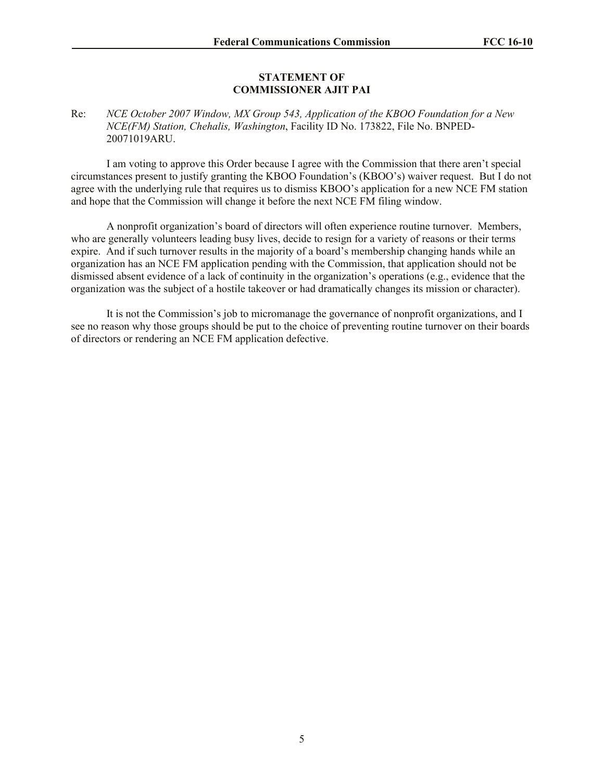#### **STATEMENT OF COMMISSIONER AJIT PAI**

Re: *NCE October 2007 Window, MX Group 543, Application of the KBOO Foundation for a New NCE(FM) Station, Chehalis, Washington*, Facility ID No. 173822, File No. BNPED-20071019ARU.

I am voting to approve this Order because I agree with the Commission that there aren't special circumstances present to justify granting the KBOO Foundation's (KBOO's) waiver request. But I do not agree with the underlying rule that requires us to dismiss KBOO's application for a new NCE FM station and hope that the Commission will change it before the next NCE FM filing window.

A nonprofit organization's board of directors will often experience routine turnover. Members, who are generally volunteers leading busy lives, decide to resign for a variety of reasons or their terms expire. And if such turnover results in the majority of a board's membership changing hands while an organization has an NCE FM application pending with the Commission, that application should not be dismissed absent evidence of a lack of continuity in the organization's operations (e.g., evidence that the organization was the subject of a hostile takeover or had dramatically changes its mission or character).

It is not the Commission's job to micromanage the governance of nonprofit organizations, and I see no reason why those groups should be put to the choice of preventing routine turnover on their boards of directors or rendering an NCE FM application defective.